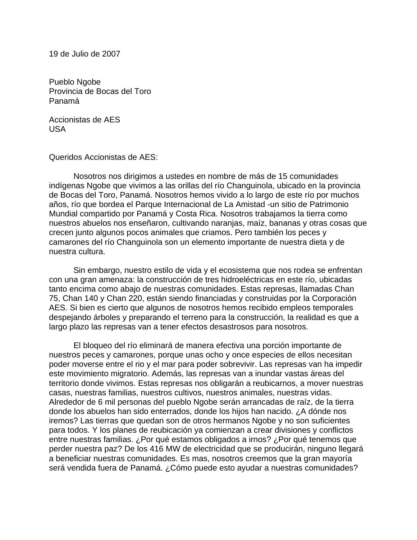19 de Julio de 2007

Pueblo Ngobe Provincia de Bocas del Toro Panamá

Accionistas de AES USA

Queridos Accionistas de AES:

 Nosotros nos dirigimos a ustedes en nombre de más de 15 comunidades indígenas Ngobe que vivimos a las orillas del río Changuinola, ubicado en la provincia de Bocas del Toro, Panamá. Nosotros hemos vivido a lo largo de este río por muchos años, río que bordea el Parque Internacional de La Amistad -un sitio de Patrimonio Mundial compartido por Panamá y Costa Rica. Nosotros trabajamos la tierra como nuestros abuelos nos enseñaron, cultivando naranjas, maíz, bananas y otras cosas que crecen junto algunos pocos animales que criamos. Pero también los peces y camarones del río Changuinola son un elemento importante de nuestra dieta y de nuestra cultura.

Sin embargo, nuestro estilo de vida y el ecosistema que nos rodea se enfrentan con una gran amenaza: la construcción de tres hidroeléctricas en este río, ubicadas tanto encima como abajo de nuestras comunidades. Estas represas, llamadas Chan 75, Chan 140 y Chan 220, están siendo financiadas y construidas por la Corporación AES. Si bien es cierto que algunos de nosotros hemos recibido empleos temporales despejando árboles y preparando el terreno para la construcción, la realidad es que a largo plazo las represas van a tener efectos desastrosos para nosotros.

El bloqueo del río eliminará de manera efectiva una porción importante de nuestros peces y camarones, porque unas ocho y once especies de ellos necesitan poder moverse entre el rio y el mar para poder sobrevivir. Las represas van ha impedir este movimiento migratorio. Además, las represas van a inundar vastas áreas del territorio donde vivimos. Estas represas nos obligarán a reubicarnos, a mover nuestras casas, nuestras familias, nuestros cultivos, nuestros animales, nuestras vidas. Alrededor de 6 mil personas del pueblo Ngobe serán arrancadas de raíz, de la tierra donde los abuelos han sido enterrados, donde los hijos han nacido. ¿A dónde nos iremos? Las tierras que quedan son de otros hermanos Ngobe y no son suficientes para todos. Y los planes de reubicación ya comienzan a crear divisiones y conflictos entre nuestras familias. ¿Por qué estamos obligados a irnos? ¿Por qué tenemos que perder nuestra paz? De los 416 MW de electricidad que se producirán, ninguno llegará a beneficiar nuestras comunidades. Es mas, nosotros creemos que la gran mayoría será vendida fuera de Panamá. ¿Cómo puede esto ayudar a nuestras comunidades?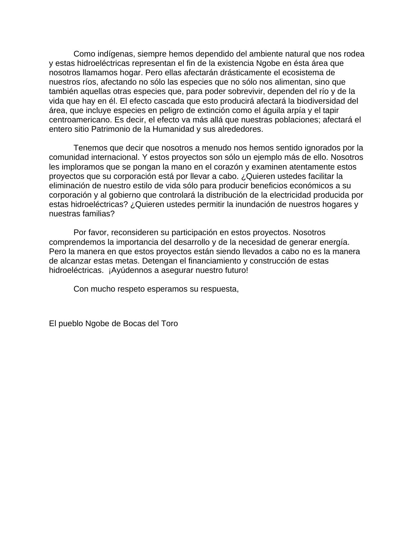Como indígenas, siempre hemos dependido del ambiente natural que nos rodea y estas hidroeléctricas representan el fin de la existencia Ngobe en ésta área que nosotros llamamos hogar. Pero ellas afectarán drásticamente el ecosistema de nuestros ríos, afectando no sólo las especies que no sólo nos alimentan, sino que también aquellas otras especies que, para poder sobrevivir, dependen del río y de la vida que hay en él. El efecto cascada que esto producirá afectará la biodiversidad del área, que incluye especies en peligro de extinción como el águila arpía y el tapir centroamericano. Es decir, el efecto va más allá que nuestras poblaciones; afectará el entero sitio Patrimonio de la Humanidad y sus alrededores.

Tenemos que decir que nosotros a menudo nos hemos sentido ignorados por la comunidad internacional. Y estos proyectos son sólo un ejemplo más de ello. Nosotros les imploramos que se pongan la mano en el corazón y examinen atentamente estos proyectos que su corporación está por llevar a cabo. ¿Quieren ustedes facilitar la eliminación de nuestro estilo de vida sólo para producir beneficios económicos a su corporación y al gobierno que controlará la distribución de la electricidad producida por estas hidroeléctricas? ¿Quieren ustedes permitir la inundación de nuestros hogares y nuestras familias?

Por favor, reconsideren su participación en estos proyectos. Nosotros comprendemos la importancia del desarrollo y de la necesidad de generar energía. Pero la manera en que estos proyectos están siendo llevados a cabo no es la manera de alcanzar estas metas. Detengan el financiamiento y construcción de estas hidroeléctricas. ¡Ayúdennos a asegurar nuestro futuro!

Con mucho respeto esperamos su respuesta,

El pueblo Ngobe de Bocas del Toro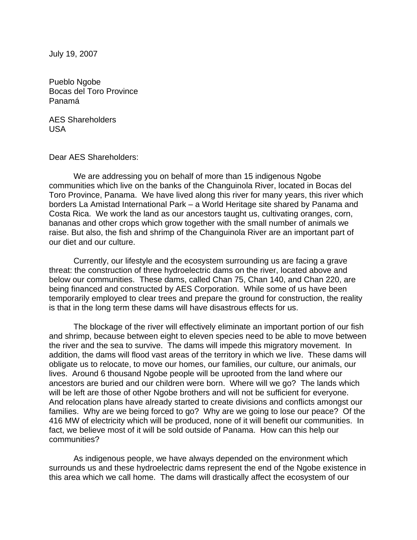July 19, 2007

Pueblo Ngobe Bocas del Toro Province Panamá

AES Shareholders USA

Dear AES Shareholders:

 We are addressing you on behalf of more than 15 indigenous Ngobe communities which live on the banks of the Changuinola River, located in Bocas del Toro Province, Panama. We have lived along this river for many years, this river which borders La Amistad International Park – a World Heritage site shared by Panama and Costa Rica. We work the land as our ancestors taught us, cultivating oranges, corn, bananas and other crops which grow together with the small number of animals we raise. But also, the fish and shrimp of the Changuinola River are an important part of our diet and our culture.

Currently, our lifestyle and the ecosystem surrounding us are facing a grave threat: the construction of three hydroelectric dams on the river, located above and below our communities. These dams, called Chan 75, Chan 140, and Chan 220, are being financed and constructed by AES Corporation. While some of us have been temporarily employed to clear trees and prepare the ground for construction, the reality is that in the long term these dams will have disastrous effects for us.

The blockage of the river will effectively eliminate an important portion of our fish and shrimp, because between eight to eleven species need to be able to move between the river and the sea to survive. The dams will impede this migratory movement. In addition, the dams will flood vast areas of the territory in which we live. These dams will obligate us to relocate, to move our homes, our families, our culture, our animals, our lives. Around 6 thousand Ngobe people will be uprooted from the land where our ancestors are buried and our children were born. Where will we go? The lands which will be left are those of other Ngobe brothers and will not be sufficient for everyone. And relocation plans have already started to create divisions and conflicts amongst our families. Why are we being forced to go? Why are we going to lose our peace? Of the 416 MW of electricity which will be produced, none of it will benefit our communities. In fact, we believe most of it will be sold outside of Panama. How can this help our communities?

As indigenous people, we have always depended on the environment which surrounds us and these hydroelectric dams represent the end of the Ngobe existence in this area which we call home. The dams will drastically affect the ecosystem of our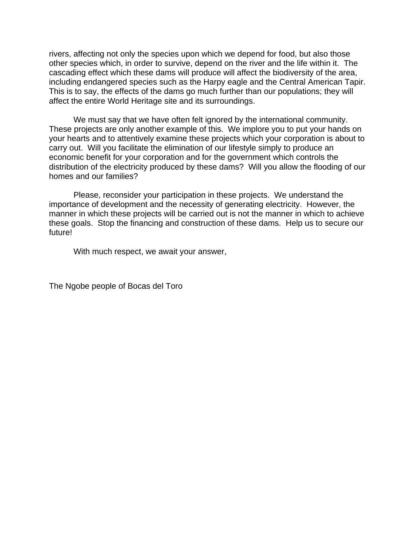rivers, affecting not only the species upon which we depend for food, but also those other species which, in order to survive, depend on the river and the life within it. The cascading effect which these dams will produce will affect the biodiversity of the area, including endangered species such as the Harpy eagle and the Central American Tapir. This is to say, the effects of the dams go much further than our populations; they will affect the entire World Heritage site and its surroundings.

We must say that we have often felt ignored by the international community. These projects are only another example of this. We implore you to put your hands on your hearts and to attentively examine these projects which your corporation is about to carry out. Will you facilitate the elimination of our lifestyle simply to produce an economic benefit for your corporation and for the government which controls the distribution of the electricity produced by these dams? Will you allow the flooding of our homes and our families?

Please, reconsider your participation in these projects. We understand the importance of development and the necessity of generating electricity. However, the manner in which these projects will be carried out is not the manner in which to achieve these goals. Stop the financing and construction of these dams. Help us to secure our future!

With much respect, we await your answer,

The Ngobe people of Bocas del Toro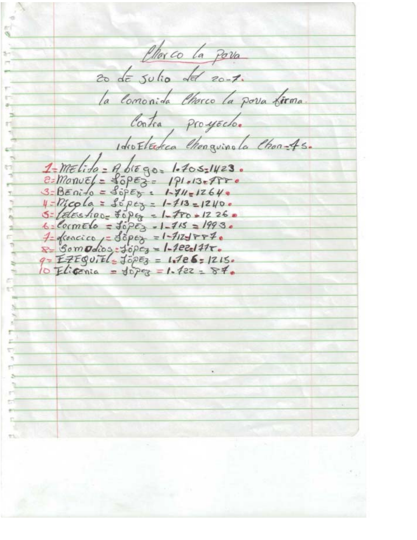Chor co la Pora 20 de sulio del 20-1. la Comonida Chorco la pova firma. Contra, proyectos IdroElectica Changvinola Chan-45.  $1-MéLido = Rbtégo = 1-405-1423$ <br>  $e=Monwét = 40953 - 191-13-787$ <br>  $3-Bénifo = 40953 - 191-1264$  $4 = P_1'$ cola =  $50^{\circ}P_5 = 1 - 1/3 = 1240$ <br>  $5 = 1$ eles hoor \$0Ptz = 1-7ro = 1226<br>  $6 = 1/2$ <br>  $6 = 1/2$ <br>  $7 = 1/2$ <br>  $8 = 1/2$ <br>  $9 = 1/2$ <br>  $1/2$ <br>  $1/2$ <br>  $1/2$ <br>  $1/2$ <br>  $1/2$ <br>  $1/2$ <br>  $1/2$ <br>  $1/2$ <br>  $1/2$ <br>  $1/2$ <br>  $1/2$ <br>  $1/2$ <br>  $1/2$ <br>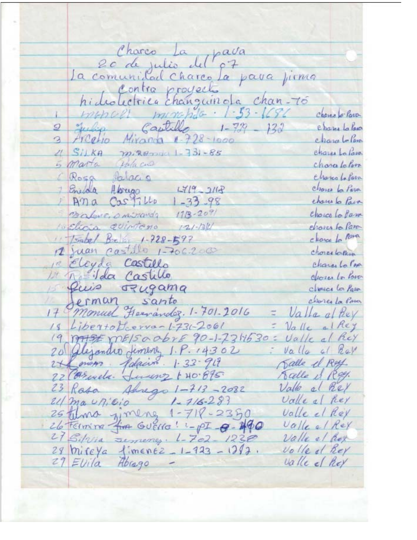Charco La pava La comunidad charco la pava pirma Contra proyects hidrolectrica changuinola chan-76<br>mencell minichdo : 1:53.1686 Chance of Para  $Captillo = 1-77-132$ Gulin chases La los  $\mathcal{Q}^-$ Arcalio Miranda 1-728-1000 chara to love  $S/LKA$   $m$  Remove 1-731-85 Charce La Paso 5 Marta Polacio chara La Port Rosa Palacis Elsanco La Para 7 Enerola Horago 1719-2112 chance to Para chases la Paix Balancianistanda 1713-2091 Chaice Colam to Elicia cuintono 121-13/1 charcs to Para 11 Tontal Brelly 1-728-597 chore la para 12 juan castillo 1-706200 chosestopin 1ª Elcyde Castillo characto Pap 1 Residencastillo Cleases la lova Puis orugama chases La Pasa 17 Serman Santo<br>17 Monuel Hernandoz. 1-701-2016 charco La Para  $=$  Valla al Rey 18 Liberto Deerva-1-731-2061 = Valle al Rey 19  $m5f$   $mF/S$  a abr  $F$  90-1-7311630: Valle al Rey 20 dejandro jementy 1. P. 14302: Valla al Ray Salle el Rey  $2+\sqrt{m\omega_{\mathcal{P}}}\$  falacion. 1.32.94 22 Caracte. Juneno 140.895 Salle & Rey. 23 Rasa Alrego 1-713-2082 Valle al Rey 21/ ma Unicio 1-116-283 Valle al key 25 filma jimeng 1-718-2350 valle el Rey 26 Férmina fin Guerra! 1-pt 8-140 Valle el Rey<br>27 Silvia Sumenez. 1-702-1230 Valle el Rey  $29$  miseya fimente - 1-123 - 1212. Volled Rey 29 Evila Abrago valle of Rey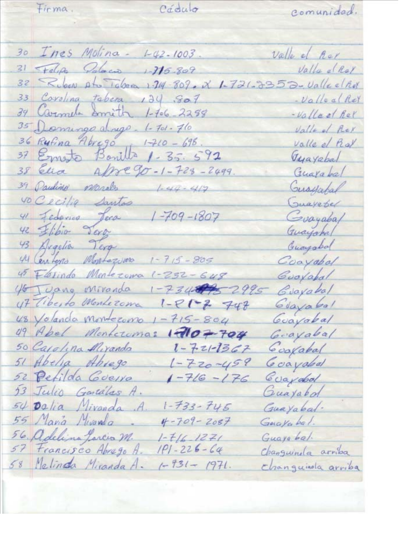Firma.

Cádulo

comunidad.

30 Ines Molina - 1-42-1003. Valle of Rex 31 Felips Polocio 1-715.809 Valla el Ray 32 Rubon Ato Tabona 1.74-809. X 1-721-3353- Valle al Rol 33 Corolina tabera 124 So.7 -Vallea(Ret 39 Carmela Smith 1-706-2288 -Vallacl Ret 35 Damingo al rego. 1-701-710 Valle of Rex 36 Rufina Abrego, 1-710 - 698. Valle el Ral 37 Emoto Banilla 1-35. 592 Tyayabal 38 Ella Aprego-1-728-2499. Guayabal 39 Pauline marals 1-44-417 Guayabal 40 Cecilia Santas Guareper 41 Federal Jera 1-709-1807<br>42 Flibio Teros Guayabal Guayokal 43 Avgelia Tera Guayabol 44 Centers Mortazion 1-715-805 Coayabal 45 Florindo Montezowa 1-232-648 Guoyabal 46 Juane Mivanda 1-734 2995 Guayakal 47 Tibesto Montezoma 1-21-2 747 Gelazabal 48 Volando montezono 1-715-804 Guayabal 49 Abel Monteroma: 17107-704 Grayabal 50 Carolina Miranda 1-7-21-1367 Cooxabal 51 Abelia Abrego 1-720-459 Goayabal 52 Petilda Guerra  $1 - 716 - 176$ Cuaydod 13 Julio Gardelas A. Guayabor 54 Dalia Mivanda A. 1-733-745 Guayabal. 55 Maria Mixanda - 4-709-2087 Garajabal. 56. Adelina Jarcio M. 1-716-1271<br>57 Francisco Abrago A. 191-226-64 Guaya bal. Changuinda arriba 58 Melinda Miranda A. 1-931-1971. Changuinda arriba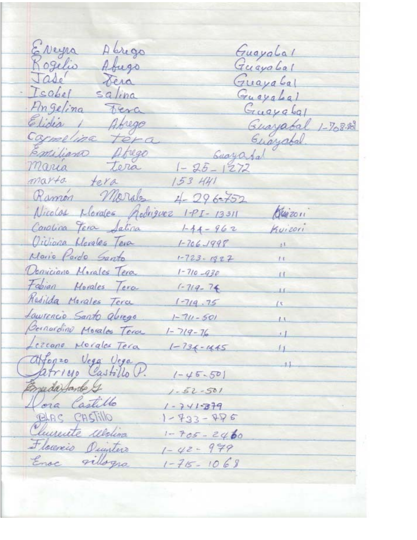Eveyra Abrigo GuayaLal Rogelio Abugo<br>Jase Dera<br>Isabel salina Guayabal Guayabal Guayabal Pingelina Tera Guayabal Elidia 1 Afrego Guayabal 1-708-88 Guayabal. Emiliano Afrego Grayabal marta tera 153 441 Ramón Marales 4-296-752 Nicolas Morales Adriguez 1-PI-13311 Algizon Carolina Jera Salina 1-44-962 Kuizori Oriliana florales Tera 1-706-1998 Mario Pardo Ganto 1-723-1827  $15$ Domiciano Morales Tera 1-710-930  $\mathbf{H}$ Fabian Morales Tero 1-719-74  $\mathbf{H}$ Redilda Morales Tera 1-719.75  $\overline{1}$ Laurencio Santo abrego 1-74-501  $\mathbf{1}$ Boinardino Morales Terra 1-719-76  $\mathbf{r}$ Lezcano Morales Tera 1-734-1445  $\sqrt{1}$ affogzo Vega Vega Jatrice Castillo P. 1-45-501  $11$ Engeda Santo &  $1.52 - 501$ Voia Castillo  $1 - 741 - 379$ BLAS CASTILLO  $1 - 733 - 496$ lucrente celolina 1-705-2460 Florencio Duinters 1-42-979 Enoc gillogra 1-715-1068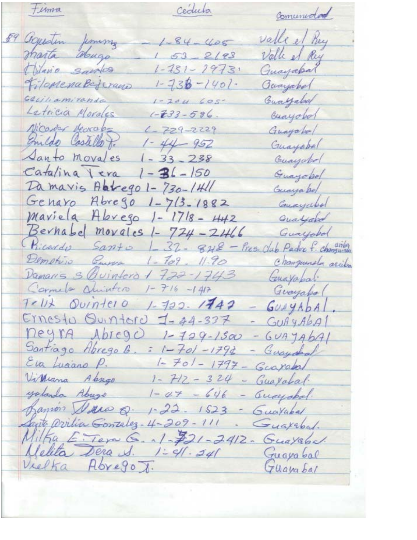firma Cedula Comunidad valle el Rey 89 agustin Jeming - 1-84-405 marta deugo Valle el Rey  $163 - 2193$ Guayabal Diano santos 1-781-1973. FilomenaBeterano 1-73B-1401-Guayabel  $C4$ iliamiranda 1-204 605-Euagabet Letricia Mordes 1-733-586. Guayobol Nicader Vecrabs  $4 - 729 - 2229$ Guayaho/ Quildo Castillo p. 1-44-952 Guayabal Santo movales 1-33-238 Guayabol  $Cafalina Tera 1-36-150$ Guayobel Damaris Aarego 1-730-1411 Genaro Abrego 1-713-1882 Cauceyabel Mariela Abrego 1-1718-442 Guayaho Bernabel movales 1-724-2466 Guayobol Ricardo Santo 1-32-848 - Pres. Club Padre f. changing Demetico Curva 1-709-11-90 Changuinela arciba Damaris 3 Ovintero 1 722-1743 Guayabal Cornela Chariters 1-716-147 Guayabal  $T < 112$  Ovintero 1-722-1742  $G\cup A\cup A$ Ernesto Quintord J-44-337 GUAYAGAI  $\overline{a}$ neyra Abrego 1-729-1500  $-60444641$ Santiago Abrego B. : 1-701-1794 - George Sal Eva Luciano P. 1-701-1797-Geography Villiana Abrgo 1-712-324 - Guayabal. yolanda Abugo 1-47 - 646 -Quayobal. Ramon Drea Q. 1-22. 1523 - Guayabal Sante Critica Gonzalez-4-209-111. Guayabal. Milka E. Tera G. 1-721-2412- Guayabel Melita Dera S. 1:41.241 Guayabal Vielka AbregoJ. Guarabal